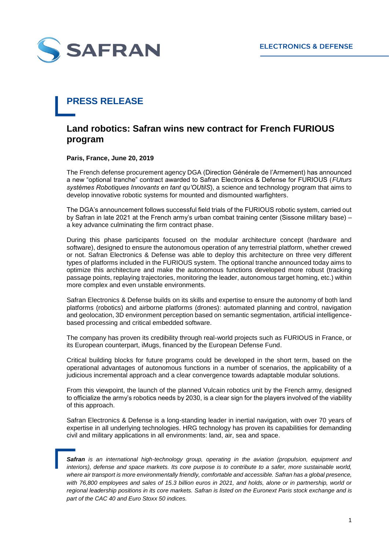

## **PRESS RELEASE**

## **Land robotics: Safran wins new contract for French FURIOUS program**

**Paris, France, June 20, 2019**

The French defense procurement agency DGA (Direction Générale de l'Armement) has announced a new "optional tranche" contract awarded to Safran Electronics & Defense for FURIOUS (*FUturs systèmes Robotiques Innovants en tant qu'OUtilS*), a science and technology program that aims to develop innovative robotic systems for mounted and dismounted warfighters.

The DGA's announcement follows successful field trials of the FURIOUS robotic system, carried out by Safran in late 2021 at the French army's urban combat training center (Sissone military base) – a key advance culminating the firm contract phase.

During this phase participants focused on the modular architecture concept (hardware and software), designed to ensure the autonomous operation of any terrestrial platform, whether crewed or not. Safran Electronics & Defense was able to deploy this architecture on three very different types of platforms included in the FURIOUS system. The optional tranche announced today aims to optimize this architecture and make the autonomous functions developed more robust (tracking passage points, replaying trajectories, monitoring the leader, autonomous target homing, etc.) within more complex and even unstable environments.

Safran Electronics & Defense builds on its skills and expertise to ensure the autonomy of both land platforms (robotics) and airborne platforms (drones): automated planning and control, navigation and geolocation, 3D environment perception based on semantic segmentation, artificial intelligencebased processing and critical embedded software.

The company has proven its credibility through real-world projects such as FURIOUS in France, or its European counterpart, iMugs, financed by the European Defense Fund.

Critical building blocks for future programs could be developed in the short term, based on the operational advantages of autonomous functions in a number of scenarios, the applicability of a judicious incremental approach and a clear convergence towards adaptable modular solutions.

From this viewpoint, the launch of the planned Vulcain robotics unit by the French army, designed to officialize the army's robotics needs by 2030, is a clear sign for the players involved of the viability of this approach.

Safran Electronics & Defense is a long-standing leader in inertial navigation, with over 70 years of expertise in all underlying technologies. HRG technology has proven its capabilities for demanding civil and military applications in all environments: land, air, sea and space.

*Safran is an international high-technology group, operating in the aviation (propulsion, equipment and interiors), defense and space markets. Its core purpose is to contribute to a safer, more sustainable world,*  where air transport is more environmentally friendly, comfortable and accessible. Safran has a global presence, *with 76,800 employees and sales of 15.3 billion euros in 2021, and holds, alone or in partnership, world or regional leadership positions in its core markets. Safran is listed on the Euronext Paris stock exchange and is part of the CAC 40 and Euro Stoxx 50 indices.*